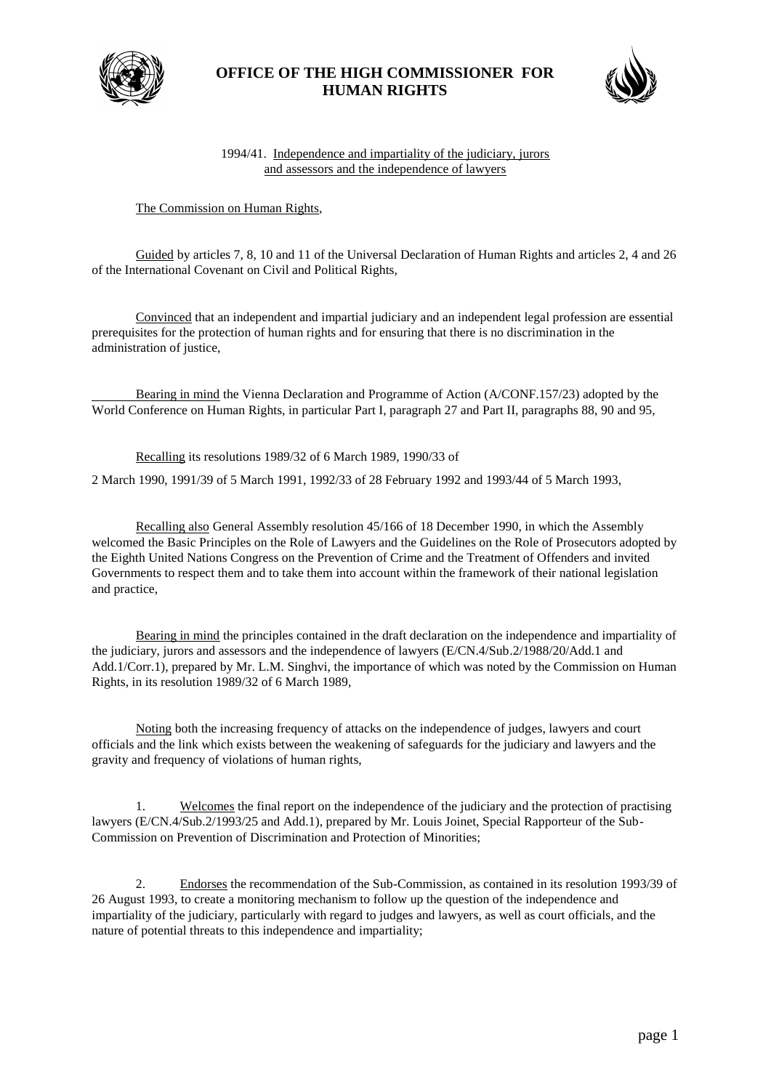

## **OFFICE OF THE HIGH COMMISSIONER FOR HUMAN RIGHTS**



## 1994/41. Independence and impartiality of the judiciary, jurors and assessors and the independence of lawyers

## The Commission on Human Rights,

Guided by articles 7, 8, 10 and 11 of the Universal Declaration of Human Rights and articles 2, 4 and 26 of the International Covenant on Civil and Political Rights,

Convinced that an independent and impartial judiciary and an independent legal profession are essential prerequisites for the protection of human rights and for ensuring that there is no discrimination in the administration of justice,

Bearing in mind the Vienna Declaration and Programme of Action (A/CONF.157/23) adopted by the World Conference on Human Rights, in particular Part I, paragraph 27 and Part II, paragraphs 88, 90 and 95,

Recalling its resolutions 1989/32 of 6 March 1989, 1990/33 of

2 March 1990, 1991/39 of 5 March 1991, 1992/33 of 28 February 1992 and 1993/44 of 5 March 1993,

Recalling also General Assembly resolution 45/166 of 18 December 1990, in which the Assembly welcomed the Basic Principles on the Role of Lawyers and the Guidelines on the Role of Prosecutors adopted by the Eighth United Nations Congress on the Prevention of Crime and the Treatment of Offenders and invited Governments to respect them and to take them into account within the framework of their national legislation and practice,

Bearing in mind the principles contained in the draft declaration on the independence and impartiality of the judiciary, jurors and assessors and the independence of lawyers (E/CN.4/Sub.2/1988/20/Add.1 and Add.1/Corr.1), prepared by Mr. L.M. Singhvi, the importance of which was noted by the Commission on Human Rights, in its resolution 1989/32 of 6 March 1989,

Noting both the increasing frequency of attacks on the independence of judges, lawyers and court officials and the link which exists between the weakening of safeguards for the judiciary and lawyers and the gravity and frequency of violations of human rights,

1. Welcomes the final report on the independence of the judiciary and the protection of practising lawyers (E/CN.4/Sub.2/1993/25 and Add.1), prepared by Mr. Louis Joinet, Special Rapporteur of the Sub-Commission on Prevention of Discrimination and Protection of Minorities;

2. Endorses the recommendation of the Sub-Commission, as contained in its resolution 1993/39 of 26 August 1993, to create a monitoring mechanism to follow up the question of the independence and impartiality of the judiciary, particularly with regard to judges and lawyers, as well as court officials, and the nature of potential threats to this independence and impartiality;